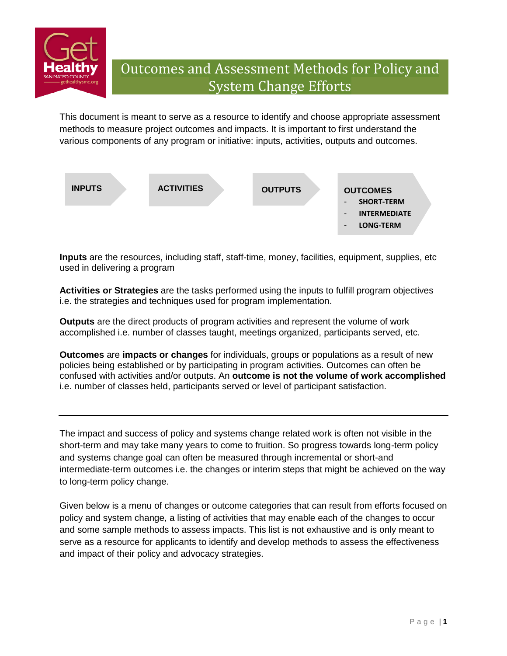

## Outcomes and Assessment Methods for Policy and System Change Efforts

This document is meant to serve as a resource to identify and choose appropriate assessment methods to measure project outcomes and impacts. It is important to first understand the various components of any program or initiative: inputs, activities, outputs and outcomes.



**Inputs** are the resources, including staff, staff-time, money, facilities, equipment, supplies, etc used in delivering a program

**Activities or Strategies** are the tasks performed using the inputs to fulfill program objectives i.e. the strategies and techniques used for program implementation.

**Outputs** are the direct products of program activities and represent the volume of work accomplished i.e. number of classes taught, meetings organized, participants served, etc.

**Outcomes** are **impacts or changes** for individuals, groups or populations as a result of new policies being established or by participating in program activities. Outcomes can often be confused with activities and/or outputs. An **outcome is not the volume of work accomplished** i.e. number of classes held, participants served or level of participant satisfaction.

The impact and success of policy and systems change related work is often not visible in the short-term and may take many years to come to fruition. So progress towards long-term policy and systems change goal can often be measured through incremental or short-and intermediate-term outcomes i.e. the changes or interim steps that might be achieved on the way to long-term policy change.

Given below is a menu of changes or outcome categories that can result from efforts focused on policy and system change, a listing of activities that may enable each of the changes to occur and some sample methods to assess impacts. This list is not exhaustive and is only meant to serve as a resource for applicants to identify and develop methods to assess the effectiveness and impact of their policy and advocacy strategies.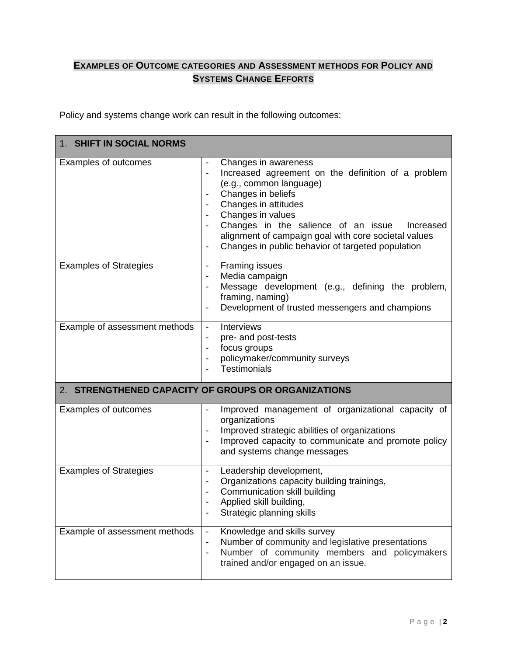## **EXAMPLES OF OUTCOME CATEGORIES AND ASSESSMENT METHODS FOR POLICY AND SYSTEMS CHANGE EFFORTS**

Policy and systems change work can result in the following outcomes:

| 1. SHIFT IN SOCIAL NORMS                               |                                                                                                                                                                                                                                                                                                                                                                                                                               |  |
|--------------------------------------------------------|-------------------------------------------------------------------------------------------------------------------------------------------------------------------------------------------------------------------------------------------------------------------------------------------------------------------------------------------------------------------------------------------------------------------------------|--|
| Examples of outcomes                                   | Changes in awareness<br>Increased agreement on the definition of a problem<br>$\overline{\phantom{a}}$<br>(e.g., common language)<br>Changes in beliefs<br>$\overline{\phantom{a}}$<br>Changes in attitudes<br>Changes in values<br>$\overline{\phantom{a}}$<br>Changes in the salience of an issue<br>Increased<br>alignment of campaign goal with core societal values<br>Changes in public behavior of targeted population |  |
| <b>Examples of Strategies</b>                          | Framing issues<br>$\overline{\phantom{a}}$<br>Media campaign<br>Message development (e.g., defining the problem,<br>framing, naming)<br>Development of trusted messengers and champions                                                                                                                                                                                                                                       |  |
| Example of assessment methods                          | Interviews<br>$\overline{\phantom{a}}$<br>pre- and post-tests<br>focus groups<br>$\overline{\phantom{a}}$<br>policymaker/community surveys<br><b>Testimonials</b>                                                                                                                                                                                                                                                             |  |
| STRENGTHENED CAPACITY OF GROUPS OR ORGANIZATIONS<br>2. |                                                                                                                                                                                                                                                                                                                                                                                                                               |  |
| Examples of outcomes                                   | Improved management of organizational capacity of<br>organizations<br>Improved strategic abilities of organizations<br>Improved capacity to communicate and promote policy<br>$\overline{\phantom{a}}$<br>and systems change messages                                                                                                                                                                                         |  |
| <b>Examples of Strategies</b>                          | Leadership development,<br>$\overline{\phantom{a}}$<br>Organizations capacity building trainings,<br>$\overline{\phantom{a}}$<br>Communication skill building<br>Applied skill building,<br>Strategic planning skills                                                                                                                                                                                                         |  |
| Example of assessment methods                          | Knowledge and skills survey<br>$\overline{\phantom{a}}$<br>Number of community and legislative presentations<br>Number of community members and policymakers<br>$\blacksquare$<br>trained and/or engaged on an issue.                                                                                                                                                                                                         |  |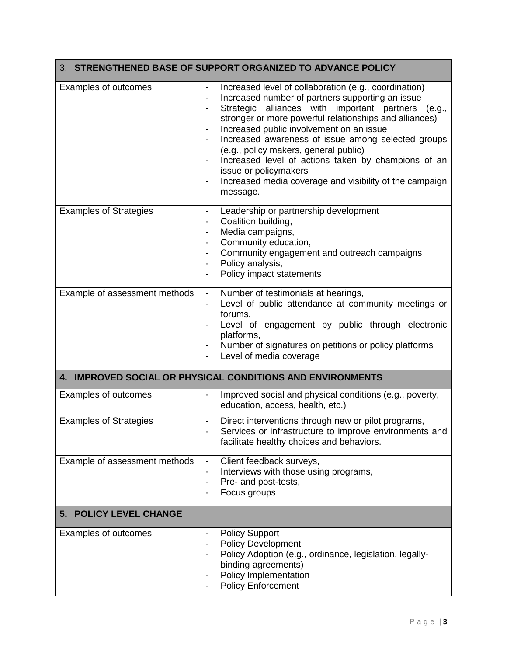| 3. STRENGTHENED BASE OF SUPPORT ORGANIZED TO ADVANCE POLICY |                                                                                                                                                                                                                                                                                                                                                                                                                                                                                                                                                                                                                 |  |
|-------------------------------------------------------------|-----------------------------------------------------------------------------------------------------------------------------------------------------------------------------------------------------------------------------------------------------------------------------------------------------------------------------------------------------------------------------------------------------------------------------------------------------------------------------------------------------------------------------------------------------------------------------------------------------------------|--|
| Examples of outcomes                                        | Increased level of collaboration (e.g., coordination)<br>Increased number of partners supporting an issue<br>$\overline{\phantom{a}}$<br>Strategic alliances with important partners (e.g.,<br>$\overline{\phantom{a}}$<br>stronger or more powerful relationships and alliances)<br>Increased public involvement on an issue<br>Increased awareness of issue among selected groups<br>(e.g., policy makers, general public)<br>Increased level of actions taken by champions of an<br>issue or policymakers<br>Increased media coverage and visibility of the campaign<br>$\overline{\phantom{a}}$<br>message. |  |
| <b>Examples of Strategies</b>                               | Leadership or partnership development<br>$\overline{\phantom{a}}$<br>Coalition building,<br>$\overline{\phantom{a}}$<br>Media campaigns,<br>$\overline{\phantom{a}}$<br>Community education,<br>Community engagement and outreach campaigns<br>$\overline{\phantom{a}}$<br>Policy analysis,<br>Policy impact statements                                                                                                                                                                                                                                                                                         |  |
| Example of assessment methods                               | Number of testimonials at hearings,<br>$\blacksquare$<br>Level of public attendance at community meetings or<br>$\qquad \qquad \blacksquare$<br>forums,<br>Level of engagement by public through electronic<br>platforms,<br>Number of signatures on petitions or policy platforms<br>Level of media coverage                                                                                                                                                                                                                                                                                                   |  |
| 4. IMPROVED SOCIAL OR PHYSICAL CONDITIONS AND ENVIRONMENTS  |                                                                                                                                                                                                                                                                                                                                                                                                                                                                                                                                                                                                                 |  |
| Examples of outcomes                                        | Improved social and physical conditions (e.g., poverty,<br>$\overline{\phantom{0}}$<br>education, access, health, etc.)                                                                                                                                                                                                                                                                                                                                                                                                                                                                                         |  |
| <b>Examples of Strategies</b>                               | Direct interventions through new or pilot programs,<br>$\qquad \qquad \blacksquare$<br>Services or infrastructure to improve environments and<br>facilitate healthy choices and behaviors.                                                                                                                                                                                                                                                                                                                                                                                                                      |  |
| Example of assessment methods                               | Client feedback surveys,<br>$\overline{\phantom{a}}$<br>Interviews with those using programs,<br>$\qquad \qquad \blacksquare$<br>Pre- and post-tests,<br>$\qquad \qquad \blacksquare$<br>Focus groups<br>$\overline{\phantom{a}}$                                                                                                                                                                                                                                                                                                                                                                               |  |
| 5. POLICY LEVEL CHANGE                                      |                                                                                                                                                                                                                                                                                                                                                                                                                                                                                                                                                                                                                 |  |
| Examples of outcomes                                        | <b>Policy Support</b><br>$\overline{\phantom{a}}$<br><b>Policy Development</b><br>$\qquad \qquad \blacksquare$<br>Policy Adoption (e.g., ordinance, legislation, legally-<br>$\overline{\phantom{a}}$<br>binding agreements)<br>Policy Implementation<br><b>Policy Enforcement</b>                                                                                                                                                                                                                                                                                                                              |  |